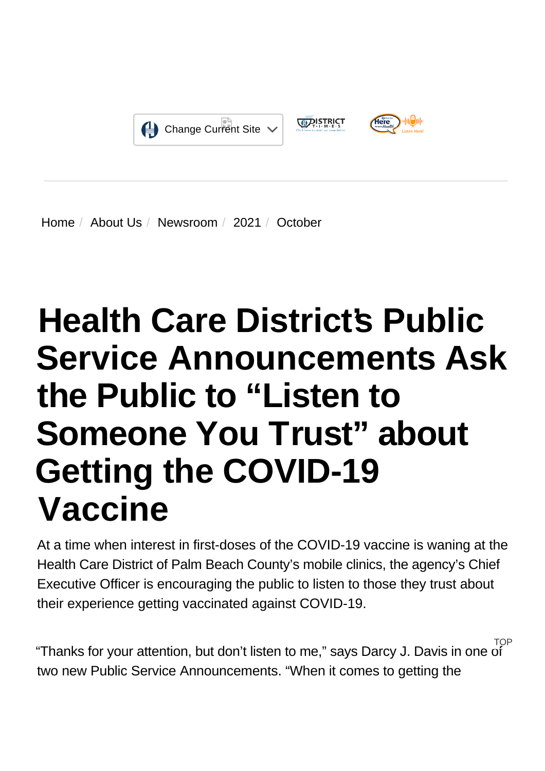

[Home](https://www.hcdpbc.org/) / [About Us](https://www.hcdpbc.org/about-us) / [Newsroom](https://www.hcdpbc.org/About-Us/newsroom) / [2021](https://www.hcdpbc.org/About-Us/Newsroom/2021) / October

# **Health Care District's Public Service Announcements Ask the Public to "Listen to Someone You Trust" about Getting the COVID-19 Vaccine**

At a time when interest in first-doses of the COVID-19 vaccine is waning at the Health Care District of Palm Beach County's mobile clinics, the agency's Chief Executive Officer is encouraging the public to listen to those they trust about their experience getting vaccinated against COVID-19.

"Thanks for your attention, but don't listen to me," says Darcy J. Davis in one of two new Public Service Announcements. "When it comes to getting the **TOP**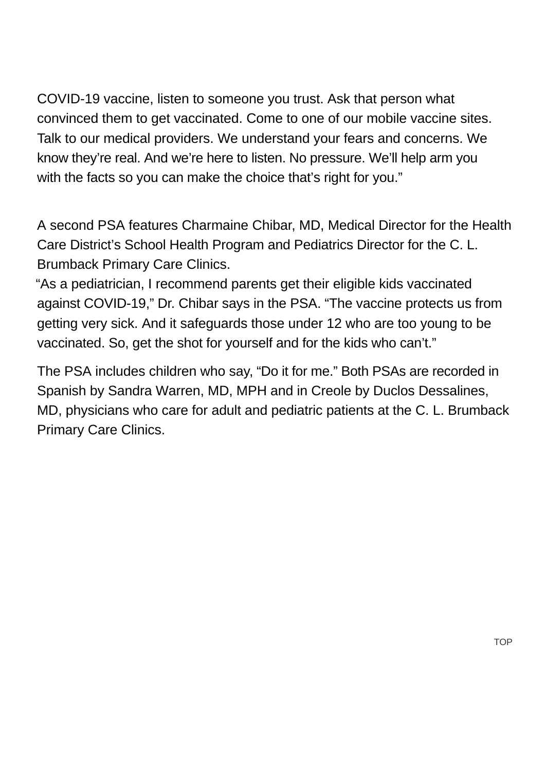COVID-19 vaccine, listen to someone you trust. Ask that person what convinced them to get vaccinated. Come to one of our mobile vaccine sites. Talk to our medical providers. We understand your fears and concerns. We know they're real. And we're here to listen. No pressure. We'll help arm you with the facts so you can make the choice that's right for you."

A second PSA features Charmaine Chibar, MD, Medical Director for the Health Care District's School Health Program and Pediatrics Director for the C. L. Brumback Primary Care Clinics.

"As a pediatrician, I recommend parents get their eligible kids vaccinated against COVID-19," Dr. Chibar says in the PSA. "The vaccine protects us from getting very sick. And it safeguards those under 12 who are too young to be vaccinated. So, get the shot for yourself and for the kids who can't."

The PSA includes children who say, "Do it for me." Both PSAs are recorded in Spanish by Sandra Warren, MD, MPH and in Creole by Duclos Dessalines, MD, physicians who care for adult and pediatric patients at the C. L. Brumback Primary Care Clinics.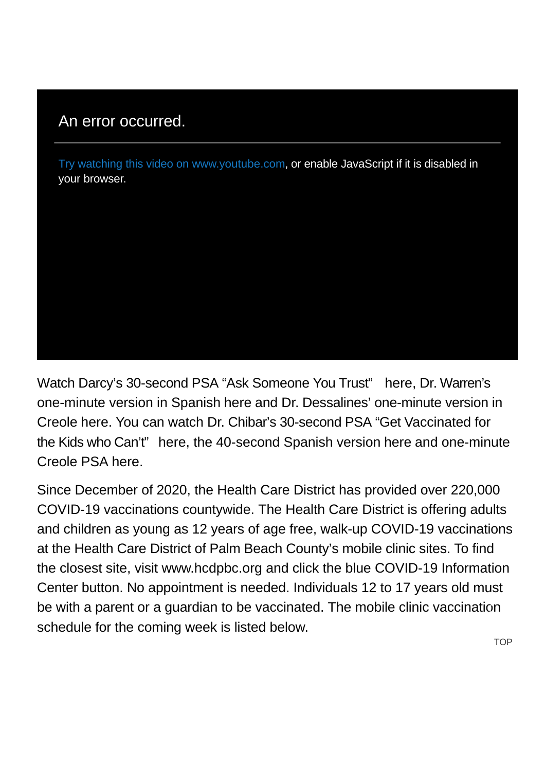## An error occurred.

Try watching this video on www.youtube.com, or enable JavaScript if it is disabled in your browser.

Watch Darcy's 30-second PSA "Ask Someone You Trust" [here,](http://https//www.youtube.com/watch?v=an0mq9dBhNs) Dr. Warren's one-minute version in Spanish [here a](http://https//www.youtube.com/watch?v=tea6MxjpD-4)nd Dr. Dessalines' one-minute version in Creole [here.](http://https//www.youtube.com/watch?v=eoUPmzY9P6U) You can watch Dr. Chibar's 30-second PSA "Get Vaccinated for the Kids who Can't" [here,](http://https//www.youtube.com/watch?v=sye6BGpwHHk) the 40-second Spanish version [here a](http://https//www.youtube.com/watch?v=dgHgWfQi4hU)nd one-minute Creole PSA [here.](http://https//www.youtube.com/watch?v=hpOH4Q6FGsk)

Since December of 2020, the Health Care District has provided over 220,000 COVID-19 vaccinations countywide. The Health Care District is offering adults and children as young as 12 years of age free, walk-up COVID-19 vaccinations at the Health Care District of Palm Beach County's mobile clinic sites. To find the closest site, visi[t www.hcdpbc.org](http://http//www.hcdpbc.org/) and click the blue COVID-19 Information Center button. No appointment is needed. Individuals 12 to 17 years old must be with a parent or a guardian to be vaccinated. The mobile clinic vaccination schedule for the coming week is listed below.

**TOP**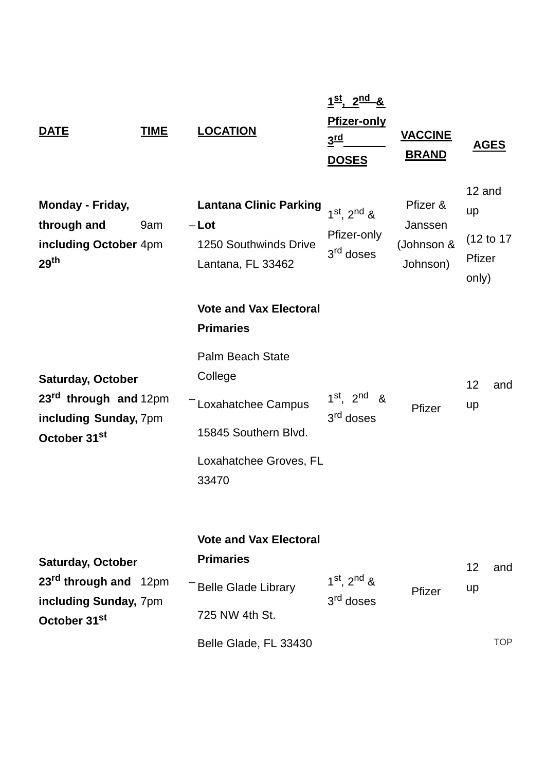| <b>DATE</b>                                                                                                        | <b>TIME</b> | <b>LOCATION</b>                                                                                                                                                            | $1^{st}$ , $2^{nd}$ &<br><b>Pfizer-only</b><br>3rd<br><b>DOSES</b> | <b>VACCINE</b><br><b>BRAND</b>                | <b>AGES</b>                                   |                   |
|--------------------------------------------------------------------------------------------------------------------|-------------|----------------------------------------------------------------------------------------------------------------------------------------------------------------------------|--------------------------------------------------------------------|-----------------------------------------------|-----------------------------------------------|-------------------|
| <b>Monday - Friday,</b><br>through and<br>including October 4pm<br>29 <sup>th</sup>                                | 9am         | <b>Lantana Clinic Parking</b><br>$-Lot$<br>1250 Southwinds Drive<br>Lantana, FL 33462                                                                                      | $1^{st}$ , $2^{nd}$ &<br>Pfizer-only<br>3 <sup>rd</sup> doses      | Pfizer &<br>Janssen<br>(Johnson &<br>Johnson) | 12 and<br>up<br>(12 to 17)<br>Pfizer<br>only) |                   |
| <b>Saturday, October</b><br>23 <sup>rd</sup> through and 12pm<br>including Sunday, 7pm<br>October 31 <sup>st</sup> |             | <b>Vote and Vax Electoral</b><br><b>Primaries</b><br><b>Palm Beach State</b><br>College<br>- Loxahatchee Campus<br>15845 Southern Blvd.<br>Loxahatchee Groves, FL<br>33470 | $1st$ 2 <sup>nd</sup><br>&<br>3 <sup>rd</sup> doses                | Pfizer                                        | 12<br>up                                      | and               |
| <b>Saturday, October</b><br>23 <sup>rd</sup> through and 12pm<br>including Sunday, 7pm<br>October 31 <sup>st</sup> |             | <b>Vote and Vax Electoral</b><br><b>Primaries</b><br><b>Belle Glade Library</b><br>725 NW 4th St.<br>Belle Glade, FL 33430                                                 | $1^{st}$ , $2^{nd}$ &<br>3 <sup>rd</sup> doses                     | Pfizer                                        | 12<br>up                                      | and<br><b>TOP</b> |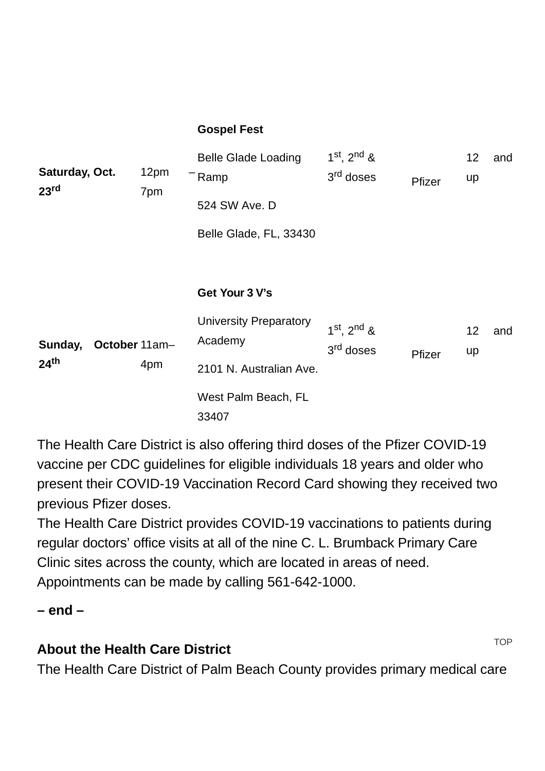#### **Gospel Fest**

| Saturday, Oct.<br>23 <sup>rd</sup> |               | 12pm<br>7pm | <b>Belle Glade Loading</b><br>Ramp<br>524 SW Ave. D<br>Belle Glade, FL, 33430 | $1^{st}$ , $2^{nd}$ &<br>3 <sup>rd</sup> doses | Pfizer | 12 <sub>2</sub><br>up | and |
|------------------------------------|---------------|-------------|-------------------------------------------------------------------------------|------------------------------------------------|--------|-----------------------|-----|
|                                    |               |             | Get Your 3 V's                                                                |                                                |        |                       |     |
| Sunday,<br>24 <sup>th</sup>        | October 11am- |             | <b>University Preparatory</b><br>Academy                                      | $1^{st}$ , $2^{nd}$ &<br>3 <sup>rd</sup> doses | Pfizer | 12 <sub>2</sub><br>up | and |
|                                    |               | 4pm         | 2101 N. Australian Ave.                                                       |                                                |        |                       |     |
|                                    |               |             | West Palm Beach, FL<br>33407                                                  |                                                |        |                       |     |

The Health Care District is also offering third doses of the Pfizer COVID-19 vaccine per [CDC guidelines](http://https//www.cdc.gov/coronavirus/2019-ncov/vaccines/booster-shot.html) for eligible individuals 18 years and older who present their COVID-19 Vaccination Record Card showing they received two previous Pfizer doses.

The Health Care District provides COVID-19 vaccinations to patients during regular doctors' office visits at all of the nine C. L. Brumback Primary Care Clinic sites across the county, which are located in areas of need. Appointments can be made by calling 561-642-1000.

#### **– end –**

## **About the Health Care District**

The Health Care District of Palm Beach County provides primary medical care

**TOP**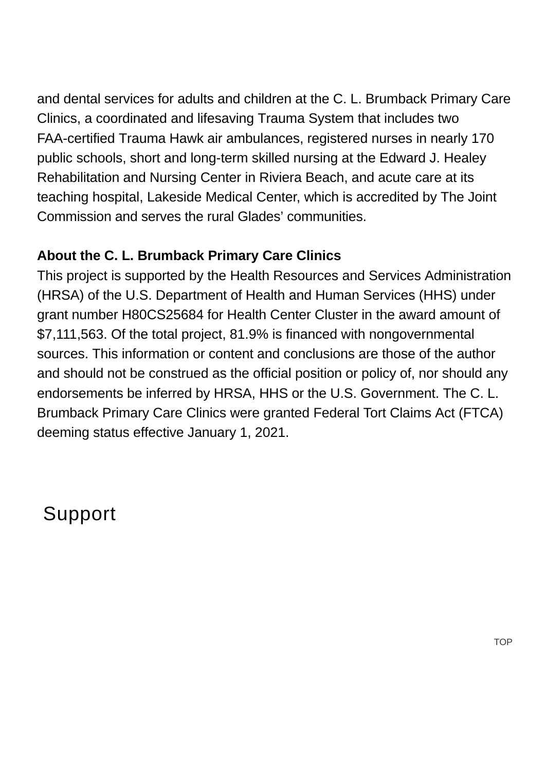and dental services for adults and children at the C. L. Brumback Primary Care Clinics, a coordinated and lifesaving Trauma System that includes two FAA-certified Trauma Hawk air ambulances, registered nurses in nearly 170 public schools, short and long-term skilled nursing at the Edward J. Healey Rehabilitation and Nursing Center in Riviera Beach, and acute care at its teaching hospital, Lakeside Medical Center, which is accredited by The Joint Commission and serves the rural Glades' communities.

### **About the C. L. Brumback Primary Care Clinics**

This project is supported by the Health Resources and Services Administration (HRSA) of the U.S. Department of Health and Human Services (HHS) under grant number H80CS25684 for Health Center Cluster in the award amount of \$7,111,563. Of the total project, 81.9% is financed with nongovernmental sources. This information or content and conclusions are those of the author and should not be construed as the official position or policy of, nor should any endorsements be inferred by HRSA, HHS or the U.S. Government. The C. L. Brumback Primary Care Clinics were granted Federal Tort Claims Act (FTCA) deeming status effective January 1, 2021.

Support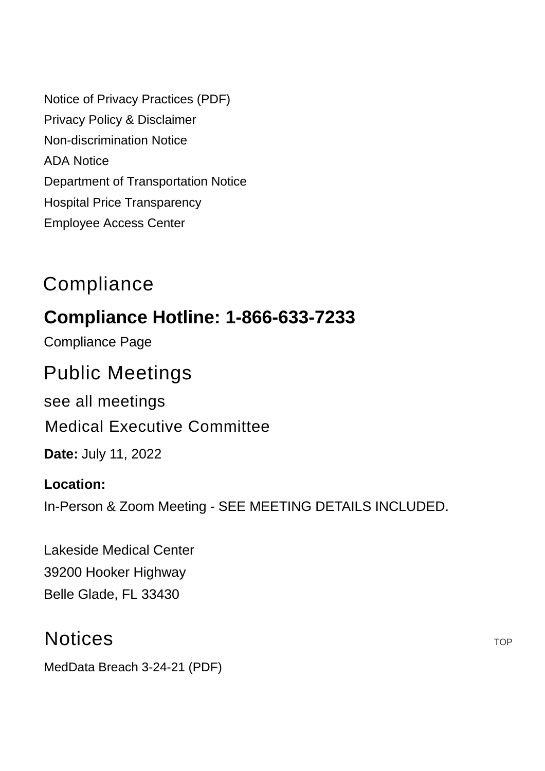[Notice of Privacy Practices \(PDF\)](https://www.hcdpbc.org/ArticleDocuments/224/Notice%20of%20Privacy%20Practices.pdf.aspx) [Privacy Policy & Disclaimer](https://www.hcdpbc.org/resources/compliance#privacy-policy-and-disclaimer) [Non-discrimination Notice](https://www.hcdpbc.org/resources/compliance#non-discrimination-notice) [ADA Notice](https://www.hcdpbc.org/resources/compliance#ada-notice) [Department of Transportation Notice](https://www.hcdpbc.org/resources/compliance#faa) [Hospital Price Transparency](https://www.hcdpbc.org/for-patients/hospital/billing-financial-assistance) [Employee Access Center](https://eac.hcdpbc.org/EAC51/Login.aspx)

## **Compliance**

## **Compliance Hotline: 1-866-633-7233**

[Compliance Page](https://www.hcdpbc.org/resources/compliance)

## Public Meetings

[see all meetings](https://www.hcdpbc.org/resources/public-meetings)

### [Medical Executive Committee](https://www.hcdpbc.org/EventViewTrainingDetails.aspx?Bck=Y&EventID=473&m=0|0&DisplayType=C)

**Date:** July 11, 2022

#### **Location:**

In-Person & Zoom Meeting - SEE MEETING DETAILS INCLUDED.

Lakeside Medical Center [39200 Hooker Highway](https://www.google.com/maps?f=l&hl=en&q=39200+Hooker+Highway%2c+Belle+Glade%2c+Florida+33430) Belle Glade, FL 33430

## **Notices**

[MedData Breach 3-24-21 \(PDF\)](https://www.hcdpbc.org/ArticleDocuments/708/Med-Data%20Press%20Release%20Media%20Notice%203_29_2021.pdf.aspx)